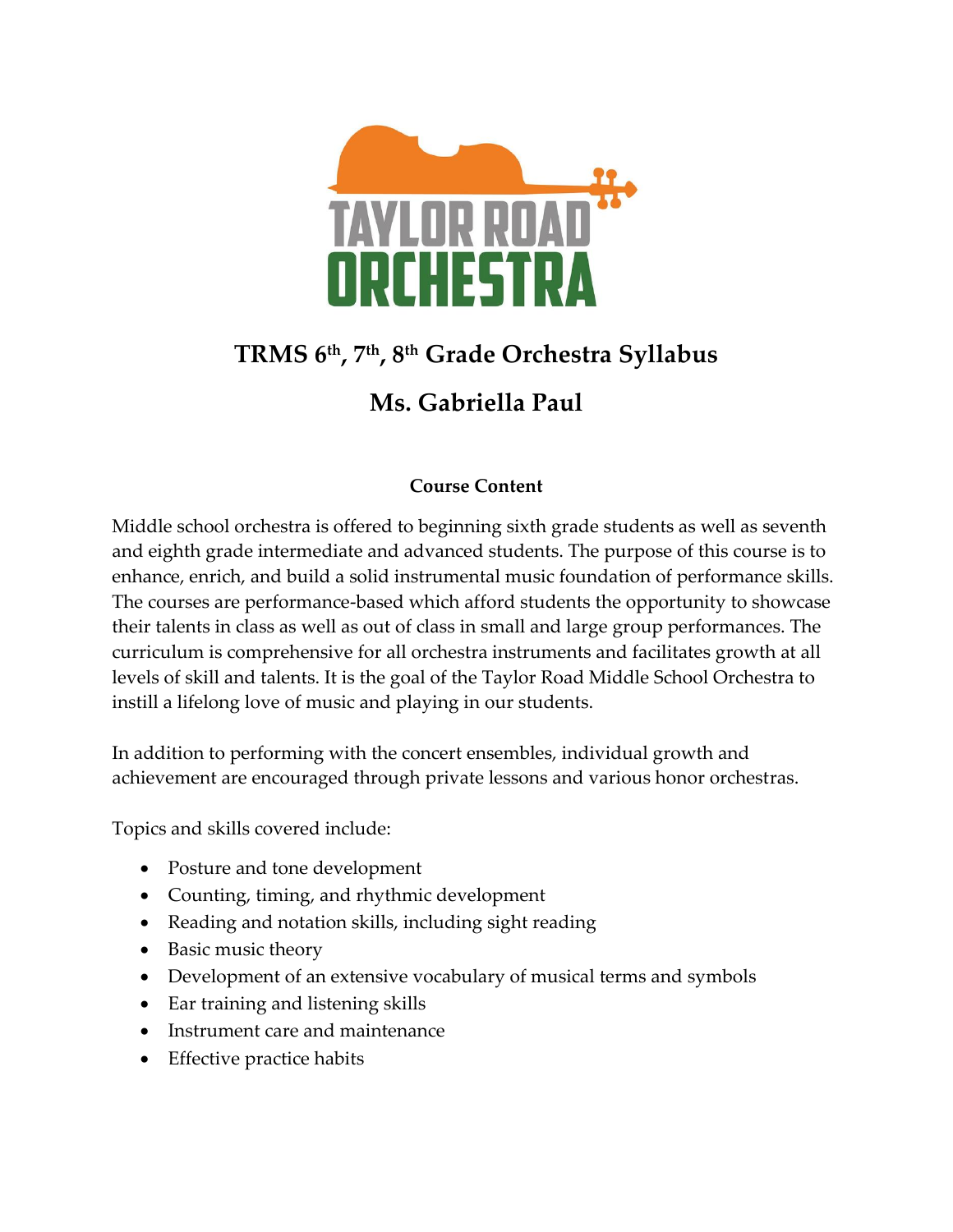

# **TRMS 6th, 7th, 8th Grade Orchestra Syllabus**

## **Ms. Gabriella Paul**

### **Course Content**

Middle school orchestra is offered to beginning sixth grade students as well as seventh and eighth grade intermediate and advanced students. The purpose of this course is to enhance, enrich, and build a solid instrumental music foundation of performance skills. The courses are performance-based which afford students the opportunity to showcase their talents in class as well as out of class in small and large group performances. The curriculum is comprehensive for all orchestra instruments and facilitates growth at all levels of skill and talents. It is the goal of the Taylor Road Middle School Orchestra to instill a lifelong love of music and playing in our students.

In addition to performing with the concert ensembles, individual growth and achievement are encouraged through private lessons and various honor orchestras.

Topics and skills covered include:

- Posture and tone development
- Counting, timing, and rhythmic development
- Reading and notation skills, including sight reading
- Basic music theory
- Development of an extensive vocabulary of musical terms and symbols
- Ear training and listening skills
- Instrument care and maintenance
- Effective practice habits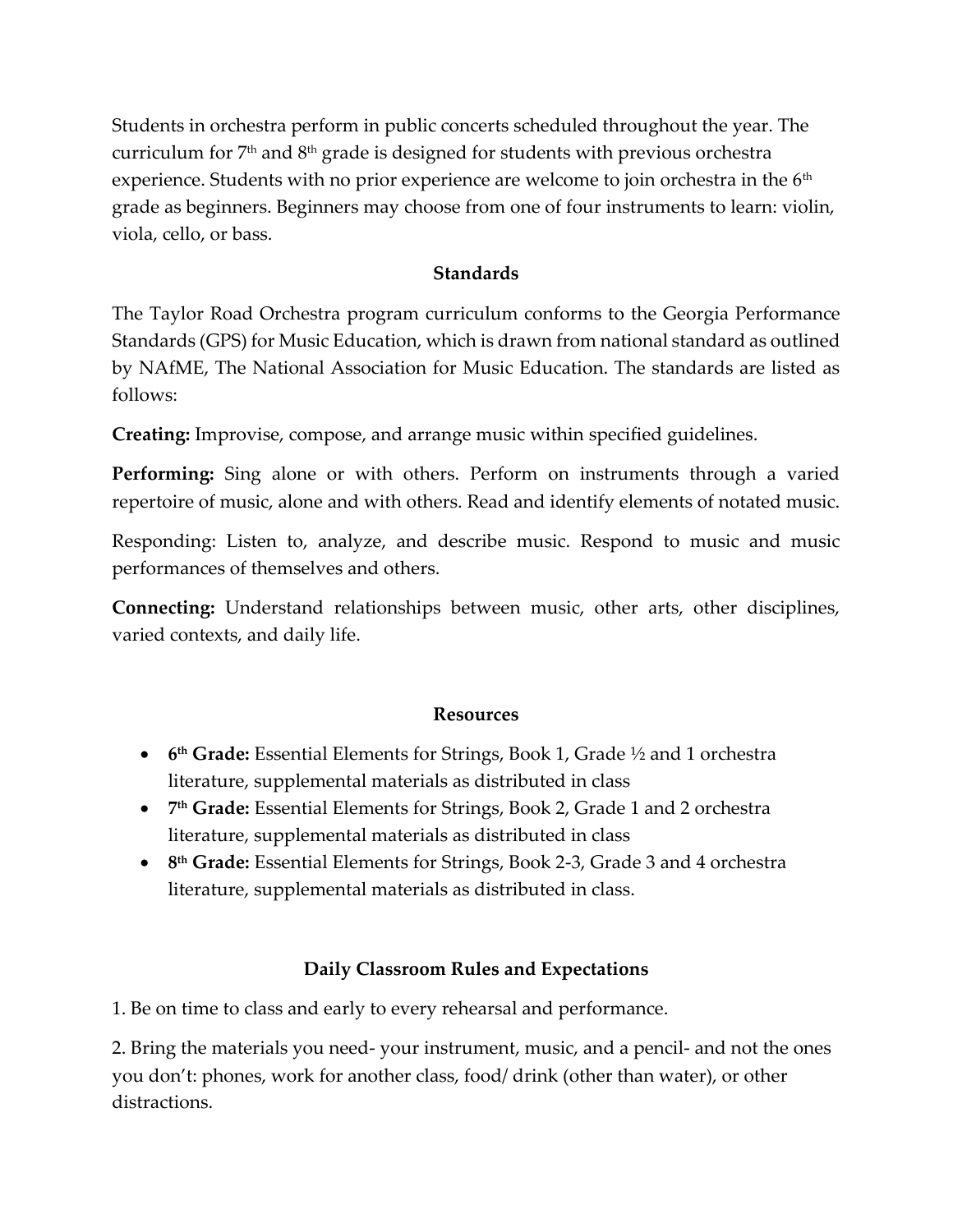Students in orchestra perform in public concerts scheduled throughout the year. The curriculum for  $7<sup>th</sup>$  and  $8<sup>th</sup>$  grade is designed for students with previous orchestra experience. Students with no prior experience are welcome to join orchestra in the  $6<sup>th</sup>$ grade as beginners. Beginners may choose from one of four instruments to learn: violin, viola, cello, or bass.

#### **Standards**

The Taylor Road Orchestra program curriculum conforms to the Georgia Performance Standards (GPS) for Music Education, which is drawn from national standard as outlined by NAfME, The National Association for Music Education. The standards are listed as follows:

**Creating:** Improvise, compose, and arrange music within specified guidelines.

**Performing:** Sing alone or with others. Perform on instruments through a varied repertoire of music, alone and with others. Read and identify elements of notated music.

Responding: Listen to, analyze, and describe music. Respond to music and music performances of themselves and others.

**Connecting:** Understand relationships between music, other arts, other disciplines, varied contexts, and daily life.

#### **Resources**

- **6 th Grade:** Essential Elements for Strings, Book 1, Grade ½ and 1 orchestra literature, supplemental materials as distributed in class
- **7 th Grade:** Essential Elements for Strings, Book 2, Grade 1 and 2 orchestra literature, supplemental materials as distributed in class
- **8 th Grade:** Essential Elements for Strings, Book 2-3, Grade 3 and 4 orchestra literature, supplemental materials as distributed in class.

#### **Daily Classroom Rules and Expectations**

1. Be on time to class and early to every rehearsal and performance.

2. Bring the materials you need- your instrument, music, and a pencil- and not the ones you don't: phones, work for another class, food/ drink (other than water), or other distractions.